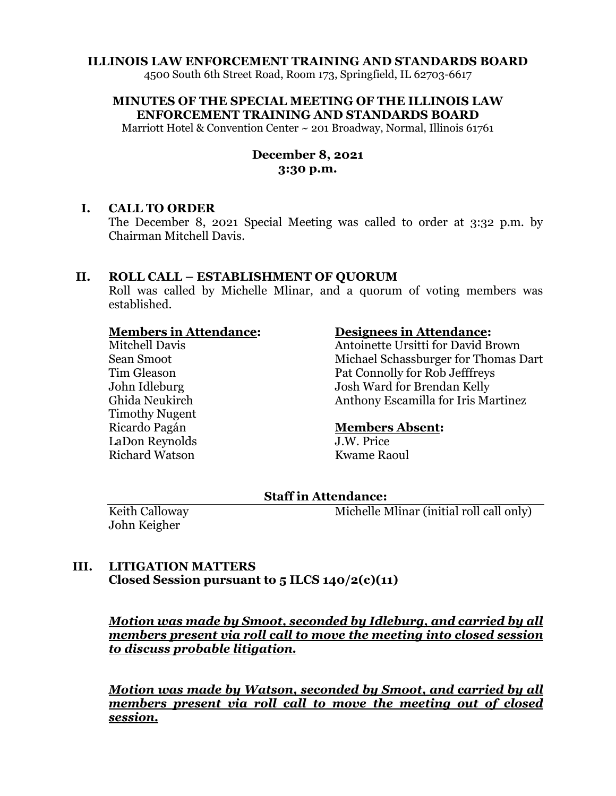## **ILLINOIS LAW ENFORCEMENT TRAINING AND STANDARDS BOARD**

4500 South 6th Street Road, Room 173, Springfield, IL 62703-6617

**MINUTES OF THE SPECIAL MEETING OF THE ILLINOIS LAW ENFORCEMENT TRAINING AND STANDARDS BOARD**

Marriott Hotel & Convention Center ~ 201 Broadway, Normal, Illinois 61761

## **December 8, 2021 3:30 p.m.**

#### **I. CALL TO ORDER**

The December 8, 2021 Special Meeting was called to order at 3:32 p.m. by Chairman Mitchell Davis.

## **II. ROLL CALL – ESTABLISHMENT OF QUORUM**

Roll was called by Michelle Mlinar, and a quorum of voting members was established.

## **Members in Attendance:**

Mitchell Davis Sean Smoot Tim Gleason John Idleburg Ghida Neukirch Timothy Nugent Ricardo Pagán LaDon Reynolds Richard Watson

#### **Designees in Attendance:**

Antoinette Ursitti for David Brown Michael Schassburger for Thomas Dart Pat Connolly for Rob Jefffreys Josh Ward for Brendan Kelly Anthony Escamilla for Iris Martinez

#### **Members Absent:**

J.W. Price Kwame Raoul

## **Staff in Attendance:**

Keith Calloway John Keigher

Michelle Mlinar (initial roll call only)

# **III. LITIGATION MATTERS Closed Session pursuant to 5 ILCS 140/2(c)(11)**

*Motion was made by Smoot, seconded by Idleburg, and carried by all members present via roll call to move the meeting into closed session to discuss probable litigation.*

*Motion was made by Watson, seconded by Smoot, and carried by all members present via roll call to move the meeting out of closed session.*